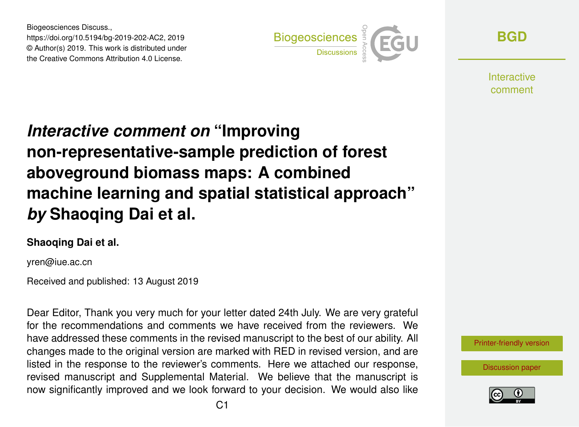Biogeosciences Discuss., https://doi.org/10.5194/bg-2019-202-AC2, 2019 © Author(s) 2019. This work is distributed under the Creative Commons Attribution 4.0 License.



**[BGD](https://www.biogeosciences-discuss.net/)**

**Interactive** comment

## *Interactive comment on* **"Improving non-representative-sample prediction of forest aboveground biomass maps: A combined machine learning and spatial statistical approach"** *by* **Shaoqing Dai et al.**

## **Shaoqing Dai et al.**

yren@iue.ac.cn

Received and published: 13 August 2019

Dear Editor, Thank you very much for your letter dated 24th July. We are very grateful for the recommendations and comments we have received from the reviewers. We have addressed these comments in the revised manuscript to the best of our ability. All changes made to the original version are marked with RED in revised version, and are listed in the response to the reviewer's comments. Here we attached our response, revised manuscript and Supplemental Material. We believe that the manuscript is now significantly improved and we look forward to your decision. We would also like



[Discussion paper](https://www.biogeosciences-discuss.net/bg-2019-202)